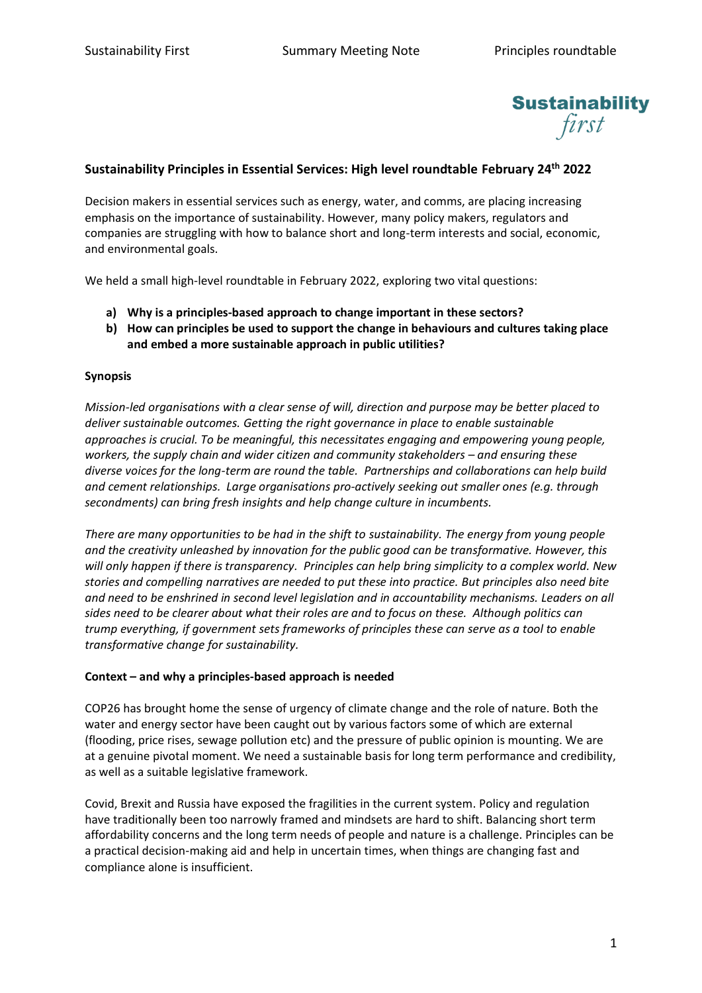

# **Sustainability Principles in Essential Services: High level roundtable February 24th 2022**

Decision makers in essential services such as energy, water, and comms, are placing increasing emphasis on the importance of sustainability. However, many policy makers, regulators and companies are struggling with how to balance short and long-term interests and social, economic, and environmental goals.

We held a small high-level roundtable in February 2022, exploring two vital questions:

- **a) Why is a principles-based approach to change important in these sectors?**
- **b) How can principles be used to support the change in behaviours and cultures taking place and embed a more sustainable approach in public utilities?**

#### **Synopsis**

*Mission-led organisations with a clear sense of will, direction and purpose may be better placed to deliver sustainable outcomes. Getting the right governance in place to enable sustainable approaches is crucial. To be meaningful, this necessitates engaging and empowering young people, workers, the supply chain and wider citizen and community stakeholders – and ensuring these diverse voices for the long-term are round the table. Partnerships and collaborations can help build and cement relationships. Large organisations pro-actively seeking out smaller ones (e.g. through secondments) can bring fresh insights and help change culture in incumbents.* 

*There are many opportunities to be had in the shift to sustainability. The energy from young people and the creativity unleashed by innovation for the public good can be transformative. However, this will only happen if there is transparency. Principles can help bring simplicity to a complex world. New stories and compelling narratives are needed to put these into practice. But principles also need bite and need to be enshrined in second level legislation and in accountability mechanisms. Leaders on all sides need to be clearer about what their roles are and to focus on these. Although politics can trump everything, if government sets frameworks of principles these can serve as a tool to enable transformative change for sustainability.*

#### **Context – and why a principles-based approach is needed**

COP26 has brought home the sense of urgency of climate change and the role of nature. Both the water and energy sector have been caught out by various factors some of which are external (flooding, price rises, sewage pollution etc) and the pressure of public opinion is mounting. We are at a genuine pivotal moment. We need a sustainable basis for long term performance and credibility, as well as a suitable legislative framework.

Covid, Brexit and Russia have exposed the fragilities in the current system. Policy and regulation have traditionally been too narrowly framed and mindsets are hard to shift. Balancing short term affordability concerns and the long term needs of people and nature is a challenge. Principles can be a practical decision-making aid and help in uncertain times, when things are changing fast and compliance alone is insufficient.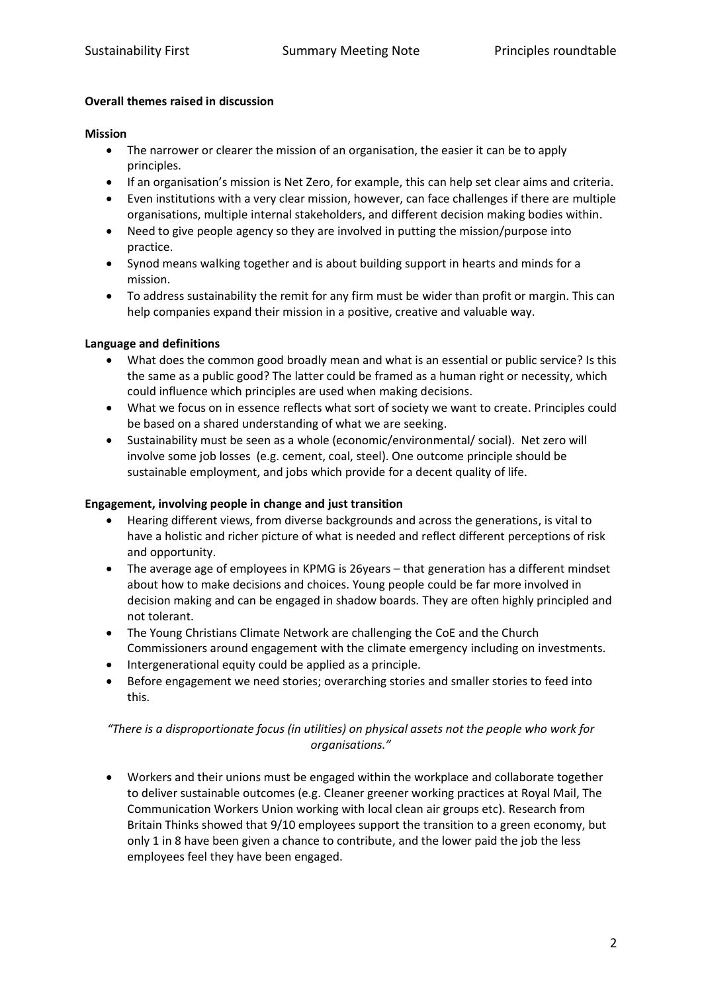#### **Overall themes raised in discussion**

#### **Mission**

- The narrower or clearer the mission of an organisation, the easier it can be to apply principles.
- If an organisation's mission is Net Zero, for example, this can help set clear aims and criteria.
- Even institutions with a very clear mission, however, can face challenges if there are multiple organisations, multiple internal stakeholders, and different decision making bodies within.
- Need to give people agency so they are involved in putting the mission/purpose into practice.
- Synod means walking together and is about building support in hearts and minds for a mission.
- To address sustainability the remit for any firm must be wider than profit or margin. This can help companies expand their mission in a positive, creative and valuable way.

### **Language and definitions**

- What does the common good broadly mean and what is an essential or public service? Is this the same as a public good? The latter could be framed as a human right or necessity, which could influence which principles are used when making decisions.
- What we focus on in essence reflects what sort of society we want to create. Principles could be based on a shared understanding of what we are seeking.
- Sustainability must be seen as a whole (economic/environmental/ social). Net zero will involve some job losses (e.g. cement, coal, steel). One outcome principle should be sustainable employment, and jobs which provide for a decent quality of life.

#### **Engagement, involving people in change and just transition**

- Hearing different views, from diverse backgrounds and across the generations, is vital to have a holistic and richer picture of what is needed and reflect different perceptions of risk and opportunity.
- The average age of employees in KPMG is 26years that generation has a different mindset about how to make decisions and choices. Young people could be far more involved in decision making and can be engaged in shadow boards. They are often highly principled and not tolerant.
- The Young Christians Climate Network are challenging the CoE and the Church Commissioners around engagement with the climate emergency including on investments.
- Intergenerational equity could be applied as a principle.
- Before engagement we need stories; overarching stories and smaller stories to feed into this.

## *"There is a disproportionate focus (in utilities) on physical assets not the people who work for organisations."*

• Workers and their unions must be engaged within the workplace and collaborate together to deliver sustainable outcomes (e.g. Cleaner greener working practices at Royal Mail, The Communication Workers Union working with local clean air groups etc). Research from Britain Thinks showed that 9/10 employees support the transition to a green economy, but only 1 in 8 have been given a chance to contribute, and the lower paid the job the less employees feel they have been engaged.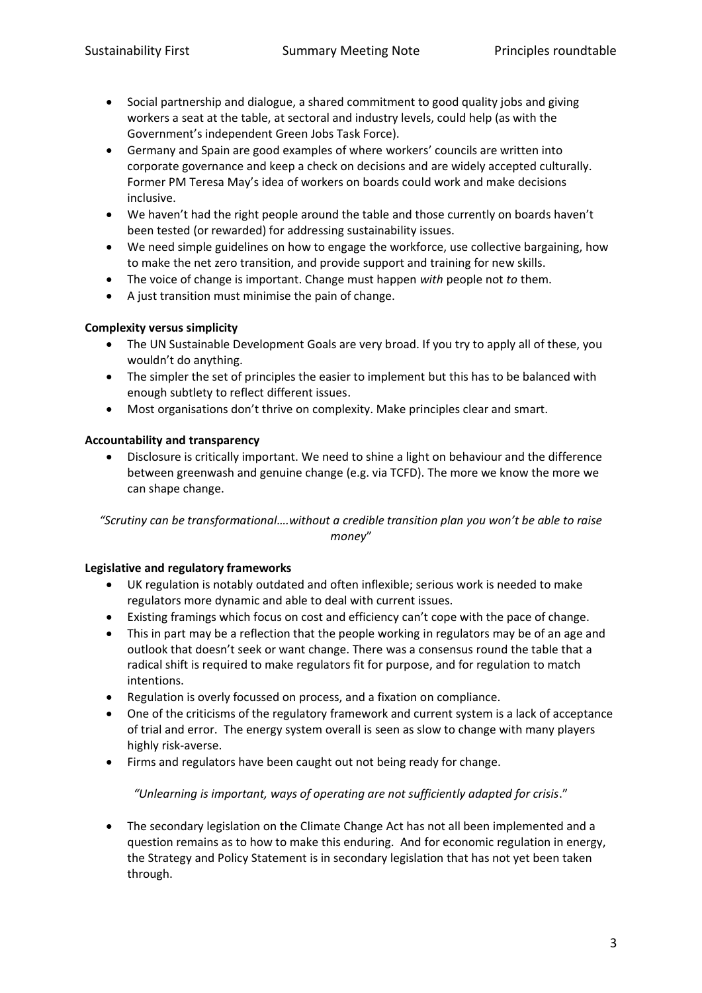- Social partnership and dialogue, a shared commitment to good quality jobs and giving workers a seat at the table, at sectoral and industry levels, could help (as with the Government's independent Green Jobs Task Force).
- Germany and Spain are good examples of where workers' councils are written into corporate governance and keep a check on decisions and are widely accepted culturally. Former PM Teresa May's idea of workers on boards could work and make decisions inclusive.
- We haven't had the right people around the table and those currently on boards haven't been tested (or rewarded) for addressing sustainability issues.
- We need simple guidelines on how to engage the workforce, use collective bargaining, how to make the net zero transition, and provide support and training for new skills.
- The voice of change is important. Change must happen *with* people not *to* them.
- A just transition must minimise the pain of change.

## **Complexity versus simplicity**

- The UN Sustainable Development Goals are very broad. If you try to apply all of these, you wouldn't do anything.
- The simpler the set of principles the easier to implement but this has to be balanced with enough subtlety to reflect different issues.
- Most organisations don't thrive on complexity. Make principles clear and smart.

## **Accountability and transparency**

• Disclosure is critically important. We need to shine a light on behaviour and the difference between greenwash and genuine change (e.g. via TCFD). The more we know the more we can shape change.

*"Scrutiny can be transformational….without a credible transition plan you won't be able to raise money*"

### **Legislative and regulatory frameworks**

- UK regulation is notably outdated and often inflexible; serious work is needed to make regulators more dynamic and able to deal with current issues.
- Existing framings which focus on cost and efficiency can't cope with the pace of change.
- This in part may be a reflection that the people working in regulators may be of an age and outlook that doesn't seek or want change. There was a consensus round the table that a radical shift is required to make regulators fit for purpose, and for regulation to match intentions.
- Regulation is overly focussed on process, and a fixation on compliance.
- One of the criticisms of the regulatory framework and current system is a lack of acceptance of trial and error. The energy system overall is seen as slow to change with many players highly risk-averse.
- Firms and regulators have been caught out not being ready for change.

### *"Unlearning is important, ways of operating are not sufficiently adapted for crisis*."

• The secondary legislation on the Climate Change Act has not all been implemented and a question remains as to how to make this enduring. And for economic regulation in energy, the Strategy and Policy Statement is in secondary legislation that has not yet been taken through.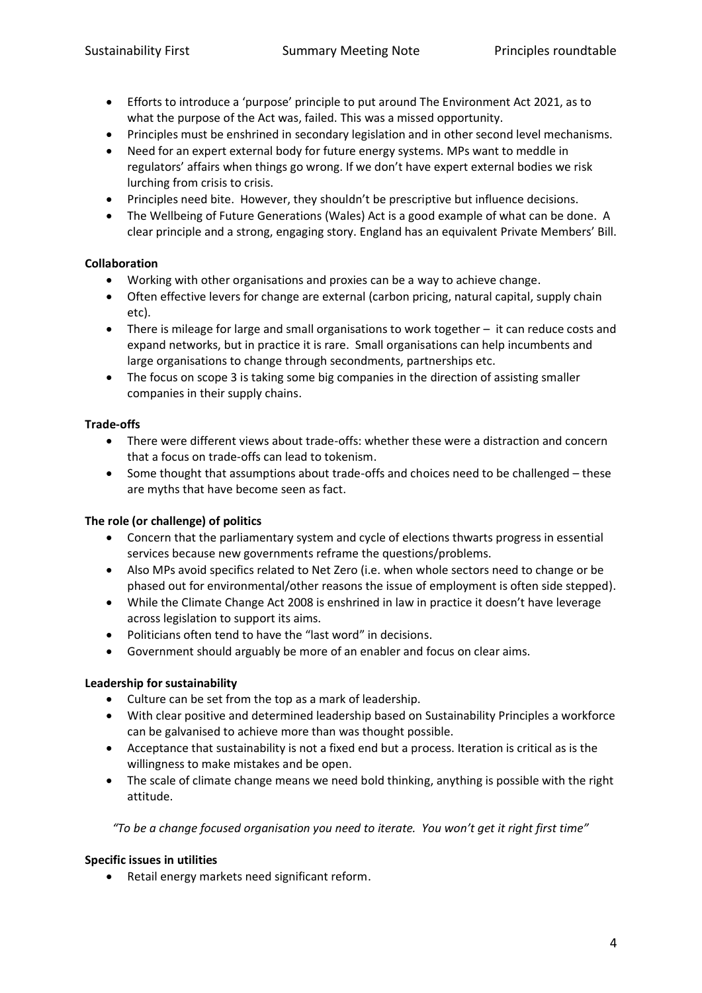- Efforts to introduce a 'purpose' principle to put around The Environment Act 2021, as to what the purpose of the Act was, failed. This was a missed opportunity.
- Principles must be enshrined in secondary legislation and in other second level mechanisms.
- Need for an expert external body for future energy systems. MPs want to meddle in regulators' affairs when things go wrong. If we don't have expert external bodies we risk lurching from crisis to crisis.
- Principles need bite. However, they shouldn't be prescriptive but influence decisions.
- The Wellbeing of Future Generations (Wales) Act is a good example of what can be done. A clear principle and a strong, engaging story. England has an equivalent Private Members' Bill.

## **Collaboration**

- Working with other organisations and proxies can be a way to achieve change.
- Often effective levers for change are external (carbon pricing, natural capital, supply chain etc).
- There is mileage for large and small organisations to work together it can reduce costs and expand networks, but in practice it is rare. Small organisations can help incumbents and large organisations to change through secondments, partnerships etc.
- The focus on scope 3 is taking some big companies in the direction of assisting smaller companies in their supply chains.

## **Trade-offs**

- There were different views about trade-offs: whether these were a distraction and concern that a focus on trade-offs can lead to tokenism.
- Some thought that assumptions about trade-offs and choices need to be challenged these are myths that have become seen as fact.

# **The role (or challenge) of politics**

- Concern that the parliamentary system and cycle of elections thwarts progress in essential services because new governments reframe the questions/problems.
- Also MPs avoid specifics related to Net Zero (i.e. when whole sectors need to change or be phased out for environmental/other reasons the issue of employment is often side stepped).
- While the Climate Change Act 2008 is enshrined in law in practice it doesn't have leverage across legislation to support its aims.
- Politicians often tend to have the "last word" in decisions.
- Government should arguably be more of an enabler and focus on clear aims.

# **Leadership for sustainability**

- Culture can be set from the top as a mark of leadership.
- With clear positive and determined leadership based on Sustainability Principles a workforce can be galvanised to achieve more than was thought possible.
- Acceptance that sustainability is not a fixed end but a process. Iteration is critical as is the willingness to make mistakes and be open.
- The scale of climate change means we need bold thinking, anything is possible with the right attitude.

### *"To be a change focused organisation you need to iterate. You won't get it right first time"*

### **Specific issues in utilities**

• Retail energy markets need significant reform.